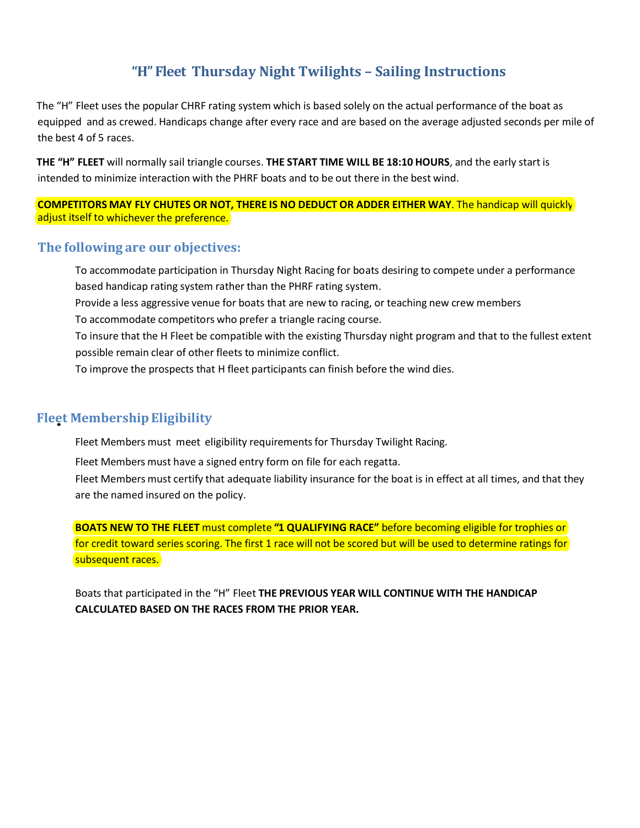## **"H" Fleet Thursday Night Twilights – Sailing Instructions**

The "H" Fleet uses the popular CHRF rating system which is based solely on the actual performance of the boat as equipped and as crewed. Handicaps change after every race and are based on the average adjusted seconds per mile of the best 4 of 5 races.

**THE "H" FLEET** will normally sail triangle courses. **THE START TIME WILL BE 18:10 HOURS**, and the early start is intended to minimize interaction with the PHRF boats and to be out there in the best wind.

**COMPETITORS MAY FLY CHUTES OR NOT, THERE IS NO DEDUCT OR ADDER EITHER WAY**. The handicap will quickly adjust itself to whichever the preference.

## **The following are our objectives:**

To accommodate participation in Thursday Night Racing for boats desiring to compete under a performance based handicap rating system rather than the PHRF rating system.

Provide a less aggressive venue for boats that are new to racing, or teaching new crew members

To accommodate competitors who prefer a triangle racing course.

To insure that the H Fleet be compatible with the existing Thursday night program and that to the fullest extent possible remain clear of other fleets to minimize conflict.

To improve the prospects that H fleet participants can finish before the wind dies.

## **Flee** • **t MembershipEligibility**

Fleet Members must meet eligibility requirements for Thursday Twilight Racing.

Fleet Members must have a signed entry form on file for each regatta.

Fleet Members must certify that adequate liability insurance for the boat is in effect at all times, and that they are the named insured on the policy.

**BOATS NEW TO THE FLEET** must complete **"1 QUALIFYING RACE"** before becoming eligible for trophies or for credit toward series scoring. The first 1 race will not be scored but will be used to determine ratings for subsequent races.

Boats that participated in the "H" Fleet **THE PREVIOUS YEAR WILL CONTINUE WITH THE HANDICAP CALCULATED BASED ON THE RACES FROM THE PRIOR YEAR.**